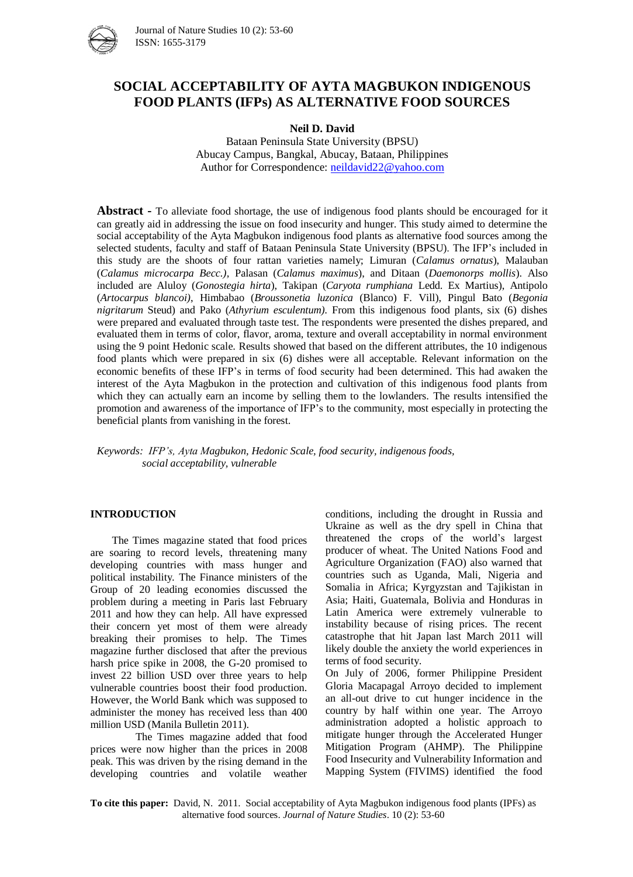

# **SOCIAL ACCEPTABILITY OF AYTA MAGBUKON INDIGENOUS FOOD PLANTS (IFPs) AS ALTERNATIVE FOOD SOURCES**

#### **Neil D. David**

Bataan Peninsula State University (BPSU) Abucay Campus, Bangkal, Abucay, Bataan, Philippines Author for Correspondence: [neildavid22@yahoo.com](mailto:neildavid22@yahoo.com)

**Abstract -** To alleviate food shortage, the use of indigenous food plants should be encouraged for it can greatly aid in addressing the issue on food insecurity and hunger. This study aimed to determine the social acceptability of the Ayta Magbukon indigenous food plants as alternative food sources among the selected students, faculty and staff of Bataan Peninsula State University (BPSU). The IFP's included in this study are the shoots of four rattan varieties namely; Limuran (*Calamus ornatus*), Malauban (*Calamus microcarpa Becc.),* Palasan (*Calamus maximus*), and Ditaan (*Daemonorps mollis*). Also included are Aluloy (*Gonostegia hirta*), Takipan (*Caryota rumphiana* Ledd. Ex Martius), Antipolo (*Artocarpus blancoi)*, Himbabao (*Broussonetia luzonica* (Blanco) F. Vill), Pingul Bato (*Begonia nigritarum* Steud) and Pako (*Athyrium esculentum).* From this indigenous food plants, six (6) dishes were prepared and evaluated through taste test. The respondents were presented the dishes prepared, and evaluated them in terms of color, flavor, aroma, texture and overall acceptability in normal environment using the 9 point Hedonic scale. Results showed that based on the different attributes, the 10 indigenous food plants which were prepared in six (6) dishes were all acceptable. Relevant information on the economic benefits of these IFP's in terms of food security had been determined. This had awaken the interest of the Ayta Magbukon in the protection and cultivation of this indigenous food plants from which they can actually earn an income by selling them to the lowlanders. The results intensified the promotion and awareness of the importance of IFP's to the community, most especially in protecting the beneficial plants from vanishing in the forest.

*Keywords: IFP's, Ayta Magbukon, Hedonic Scale, food security, indigenous foods, social acceptability, vulnerable*

#### **INTRODUCTION**

 The Times magazine stated that food prices are soaring to record levels, threatening many developing countries with mass hunger and political instability. The Finance ministers of the Group of 20 leading economies discussed the problem during a meeting in Paris last February 2011 and how they can help. All have expressed their concern yet most of them were already breaking their promises to help. The Times magazine further disclosed that after the previous harsh price spike in 2008, the G-20 promised to invest 22 billion USD over three years to help vulnerable countries boost their food production. However, the World Bank which was supposed to administer the money has received less than 400 million USD (Manila Bulletin 2011).

The Times magazine added that food prices were now higher than the prices in 2008 peak. This was driven by the rising demand in the developing countries and volatile weather

conditions, including the drought in Russia and Ukraine as well as the dry spell in China that threatened the crops of the world's largest producer of wheat. The United Nations Food and Agriculture Organization (FAO) also warned that countries such as Uganda, Mali, Nigeria and Somalia in Africa; Kyrgyzstan and Tajikistan in Asia; Haiti, Guatemala, Bolivia and Honduras in Latin America were extremely vulnerable to instability because of rising prices. The recent catastrophe that hit Japan last March 2011 will likely double the anxiety the world experiences in terms of food security.

On July of 2006, former Philippine President Gloria Macapagal Arroyo decided to implement an all-out drive to cut hunger incidence in the country by half within one year. The Arroyo administration adopted a holistic approach to mitigate hunger through the Accelerated Hunger Mitigation Program (AHMP). The Philippine Food Insecurity and Vulnerability Information and Mapping System (FIVIMS) identified the food

**To cite this paper:** David, N. 2011. Social acceptability of Ayta Magbukon indigenous food plants (IPFs) as alternative food sources. *Journal of Nature Studies*, 10.(2): 53.60. alternative food sources. *Journal of Nature Studies*. 10 (2): 53-60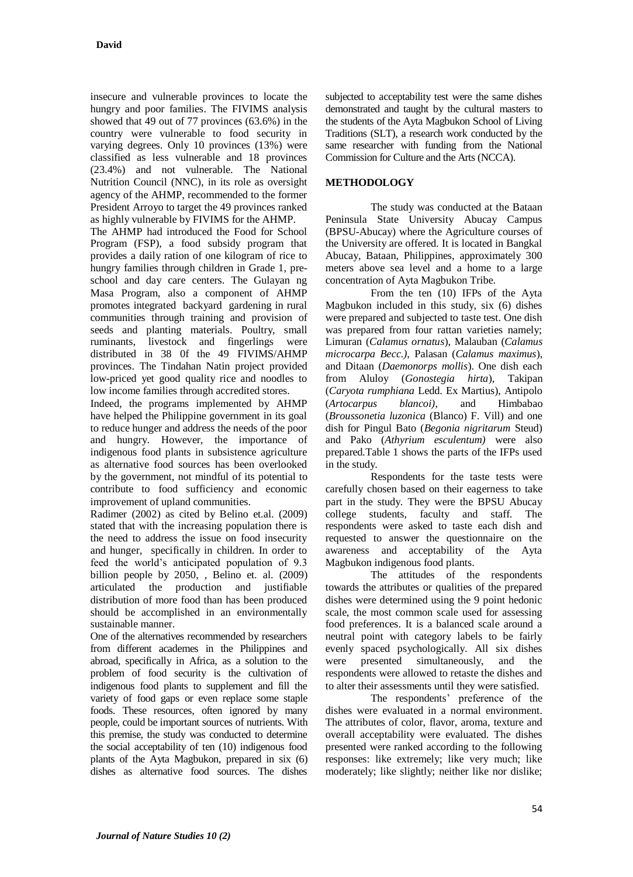insecure and vulnerable provinces to locate the hungry and poor families. The FIVIMS analysis showed that 49 out of 77 provinces (63.6%) in the country were vulnerable to food security in varying degrees. Only 10 provinces (13%) were classified as less vulnerable and 18 provinces (23.4%) and not vulnerable. The National Nutrition Council (NNC), in its role as oversight agency of the AHMP, recommended to the former President Arroyo to target the 49 provinces ranked as highly vulnerable by FIVIMS for the AHMP.

The AHMP had introduced the Food for School Program (FSP), a food subsidy program that provides a daily ration of one kilogram of rice to hungry families through children in Grade 1, preschool and day care centers. The Gulayan ng Masa Program, also a component of AHMP promotes integrated backyard gardening in rural communities through training and provision of seeds and planting materials. Poultry, small ruminants, livestock and fingerlings were distributed in 38 0f the 49 FIVIMS/AHMP provinces. The Tindahan Natin project provided low-priced yet good quality rice and noodles to low income families through accredited stores.

Indeed, the programs implemented by AHMP have helped the Philippine government in its goal to reduce hunger and address the needs of the poor and hungry. However, the importance of indigenous food plants in subsistence agriculture as alternative food sources has been overlooked by the government, not mindful of its potential to contribute to food sufficiency and economic improvement of upland communities.

Radimer (2002) as cited by Belino et.al. (2009) stated that with the increasing population there is the need to address the issue on food insecurity and hunger, specifically in children. In order to feed the world's anticipated population of 9.3 billion people by 2050, , Belino et. al. (2009) articulated the production and justifiable distribution of more food than has been produced should be accomplished in an environmentally sustainable manner.

One of the alternatives recommended by researchers from different academes in the Philippines and abroad, specifically in Africa, as a solution to the problem of food security is the cultivation of indigenous food plants to supplement and fill the variety of food gaps or even replace some staple foods. These resources, often ignored by many people, could be important sources of nutrients. With this premise, the study was conducted to determine the social acceptability of ten (10) indigenous food plants of the Ayta Magbukon, prepared in six (6) dishes as alternative food sources. The dishes

subjected to acceptability test were the same dishes demonstrated and taught by the cultural masters to the students of the Ayta Magbukon School of Living Traditions (SLT), a research work conducted by the same researcher with funding from the National Commission for Culture and the Arts (NCCA).

# **METHODOLOGY**

The study was conducted at the Bataan Peninsula State University Abucay Campus (BPSU-Abucay) where the Agriculture courses of the University are offered. It is located in Bangkal Abucay, Bataan, Philippines, approximately 300 meters above sea level and a home to a large concentration of Ayta Magbukon Tribe.

From the ten (10) IFPs of the Ayta Magbukon included in this study, six (6) dishes were prepared and subjected to taste test. One dish was prepared from four rattan varieties namely; Limuran (*Calamus ornatus*), Malauban (*Calamus microcarpa Becc.),* Palasan (*Calamus maximus*), and Ditaan (*Daemonorps mollis*). One dish each from Aluloy (*Gonostegia hirta*), Takipan (*Caryota rumphiana* Ledd. Ex Martius), Antipolo (*Artocarpus blancoi)*, and Himbabao (*Broussonetia luzonica* (Blanco) F. Vill) and one dish for Pingul Bato (*Begonia nigritarum* Steud) and Pako (*Athyrium esculentum)* were also prepared*.*Table 1 shows the parts of the IFPs used in the study.

Respondents for the taste tests were carefully chosen based on their eagerness to take part in the study. They were the BPSU Abucay college students, faculty and staff. The respondents were asked to taste each dish and requested to answer the questionnaire on the awareness and acceptability of the Ayta Magbukon indigenous food plants.

The attitudes of the respondents towards the attributes or qualities of the prepared dishes were determined using the 9 point hedonic scale, the most common scale used for assessing food preferences. It is a balanced scale around a neutral point with category labels to be fairly evenly spaced psychologically. All six dishes were presented simultaneously, and the respondents were allowed to retaste the dishes and to alter their assessments until they were satisfied.

The respondents' preference of the dishes were evaluated in a normal environment. The attributes of color, flavor, aroma, texture and overall acceptability were evaluated. The dishes presented were ranked according to the following responses: like extremely; like very much; like moderately; like slightly; neither like nor dislike;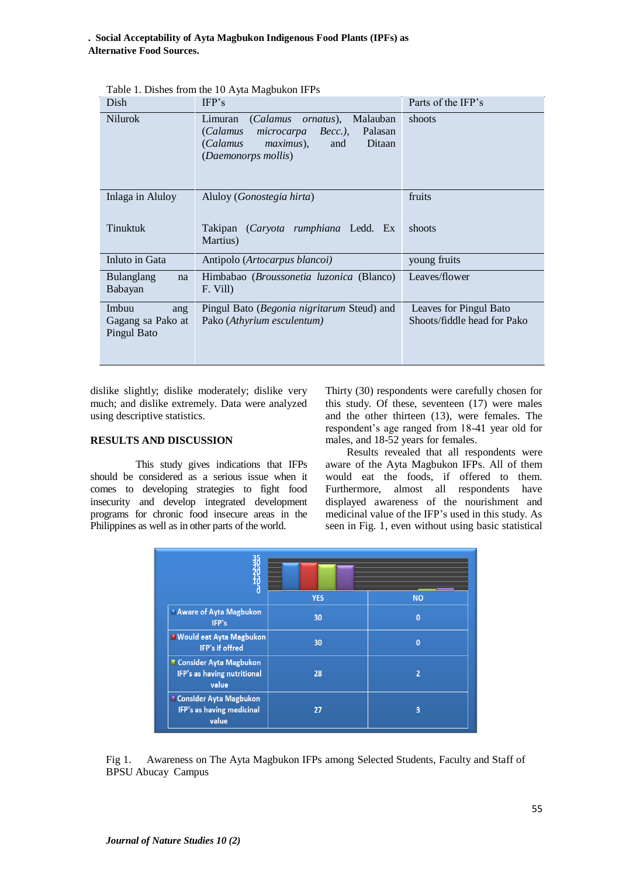**. Social Acceptability of Ayta Magbukon Indigenous Food Plants (IPFs) as Alternative Food Sources.**

|                                                  | Table 1. Disnes from the TV Ayla Magbukon II TS                                                                                                                       |                                                       |
|--------------------------------------------------|-----------------------------------------------------------------------------------------------------------------------------------------------------------------------|-------------------------------------------------------|
| Dish                                             | IFP's                                                                                                                                                                 | Parts of the IFP's                                    |
| Nilurok                                          | Malauban<br>(Calamus ornatus).<br>Limuran<br>Palasan<br>(Calamus<br>microcarpa<br>$Becc.$ ),<br>Ditaan<br><i>maximus</i> ),<br>(Calamus<br>and<br>(Daemonorps mollis) | shoots                                                |
| Inlaga in Aluloy                                 | Aluloy ( <i>Gonostegia hirta</i> )                                                                                                                                    | fruits                                                |
| Tinuktuk                                         | (Caryota rumphiana Ledd. Ex<br>Takipan<br>Martius)                                                                                                                    | shoots                                                |
| Inluto in Gata                                   | Antipolo (Artocarpus blancoi)                                                                                                                                         | young fruits                                          |
| <b>Bulanglang</b><br>na<br>Babayan               | Himbabao ( <i>Broussonetia luzonica</i> (Blanco)<br>F. Vill                                                                                                           | Leaves/flower                                         |
| Imbuu<br>ang<br>Gagang sa Pako at<br>Pingul Bato | Pingul Bato (Begonia nigritarum Steud) and<br>Pako (Athyrium esculentum)                                                                                              | Leaves for Pingul Bato<br>Shoots/fiddle head for Pako |

Table 1. Dishes from the 10 Ayta Magbukon IFPs

dislike slightly; dislike moderately; dislike very much; and dislike extremely. Data were analyzed using descriptive statistics.

## **RESULTS AND DISCUSSION**

This study gives indications that IFPs should be considered as a serious issue when it comes to developing strategies to fight food insecurity and develop integrated development programs for chronic food insecure areas in the Philippines as well as in other parts of the world.

Thirty (30) respondents were carefully chosen for this study. Of these, seventeen (17) were males and the other thirteen (13), were females. The respondent's age ranged from 18-41 year old for males, and 18-52 years for females.

 Results revealed that all respondents were aware of the Ayta Magbukon IFPs. All of them would eat the foods, if offered to them. Furthermore, almost all respondents have displayed awareness of the nourishment and medicinal value of the IFP's used in this study. As seen in Fig. 1, even without using basic statistical

|                                                                           | <b>YES</b> | <b>NO</b>               |  |  |  |
|---------------------------------------------------------------------------|------------|-------------------------|--|--|--|
| * Aware of Ayta Magbukon<br>IFP's                                         | 30         | $\mathbf{0}$            |  |  |  |
| Mould eat Ayta Magbukon<br><b>IFP's if offred</b>                         | 30         | $\mathbf{0}$            |  |  |  |
| ■ Consider Ayta Magbukon<br>IFP's as having nutritional<br>value          | 28         | $\overline{\mathbf{z}}$ |  |  |  |
| <sup>*</sup> Consider Ayta Magbukon<br>IFP's as having medicinal<br>value | 27         | 3                       |  |  |  |

Fig 1. Awareness on The Ayta Magbukon IFPs among Selected Students, Faculty and Staff of BPSU Abucay Campus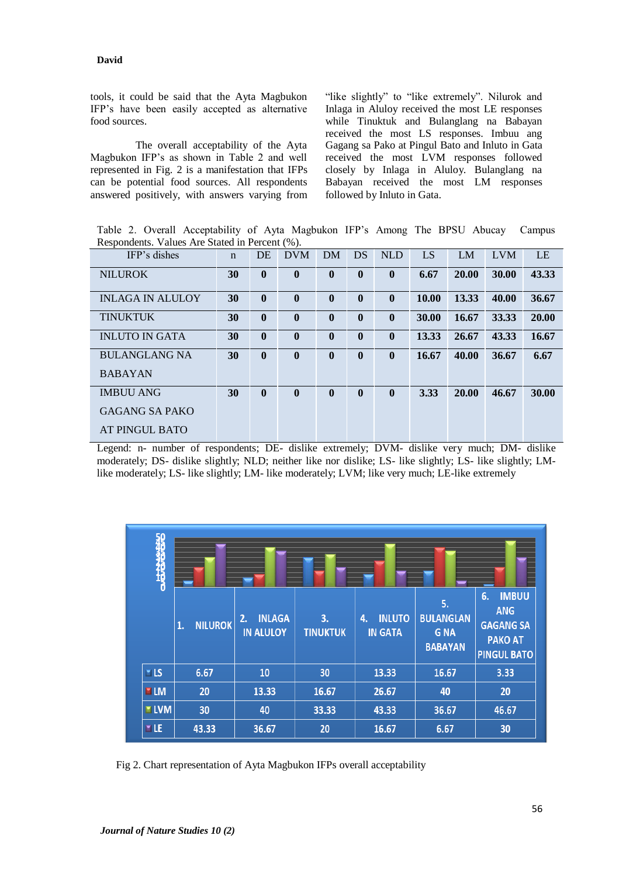### **David**

tools, it could be said that the Ayta Magbukon IFP's have been easily accepted as alternative food sources.

The overall acceptability of the Ayta Magbukon IFP's as shown in Table 2 and well represented in Fig. 2 is a manifestation that IFPs can be potential food sources. All respondents answered positively, with answers varying from "like slightly" to "like extremely". Nilurok and Inlaga in Aluloy received the most LE responses while Tinuktuk and Bulanglang na Babayan received the most LS responses. Imbuu ang Gagang sa Pako at Pingul Bato and Inluto in Gata received the most LVM responses followed closely by Inlaga in Aluloy. Bulanglang na Babayan received the most LM responses followed by Inluto in Gata.

Table 2. Overall Acceptability of Ayta Magbukon IFP's Among The BPSU Abucay Campus Respondents. Values Are Stated in Percent (%).

| IFP's dishes            | $\mathbf n$ | <b>DE</b> | <b>DVM</b>   | DM           | DS           | <b>NLD</b>   | LS    | LM    | <b>LVM</b> | LE    |
|-------------------------|-------------|-----------|--------------|--------------|--------------|--------------|-------|-------|------------|-------|
| <b>NILUROK</b>          | 30          | $\bf{0}$  | $\mathbf{0}$ | $\mathbf{0}$ | $\mathbf{0}$ | $\mathbf{0}$ | 6.67  | 20.00 | 30.00      | 43.33 |
| <b>INLAGA IN ALULOY</b> | 30          | $\bf{0}$  | $\bf{0}$     | $\mathbf{0}$ | $\mathbf{0}$ | $\mathbf{0}$ | 10.00 | 13.33 | 40.00      | 36.67 |
| <b>TINUKTUK</b>         | 30          | $\bf{0}$  | $\bf{0}$     | $\mathbf{0}$ | $\mathbf{0}$ | $\bf{0}$     | 30.00 | 16.67 | 33.33      | 20.00 |
| <b>INLUTO IN GATA</b>   | 30          | $\bf{0}$  | $\bf{0}$     | $\mathbf{0}$ | $\mathbf{0}$ | $\bf{0}$     | 13.33 | 26.67 | 43.33      | 16.67 |
| <b>BULANGLANG NA</b>    | 30          | $\bf{0}$  | $\mathbf{0}$ | $\bf{0}$     | $\mathbf{0}$ | $\mathbf{0}$ | 16.67 | 40.00 | 36.67      | 6.67  |
| <b>BABAYAN</b>          |             |           |              |              |              |              |       |       |            |       |
| <b>IMBUU ANG</b>        | 30          | $\bf{0}$  | $\bf{0}$     | $\bf{0}$     | $\mathbf{0}$ | $\mathbf{0}$ | 3.33  | 20.00 | 46.67      | 30.00 |
| GAGANG SA PAKO          |             |           |              |              |              |              |       |       |            |       |
| AT PINGUL BATO          |             |           |              |              |              |              |       |       |            |       |

Legend: n- number of respondents; DE- dislike extremely; DVM- dislike very much; DM- dislike moderately; DS- dislike slightly; NLD; neither like nor dislike; LS- like slightly; LS- like slightly; LMlike moderately; LS- like slightly; LM- like moderately; LVM; like very much; LE-like extremely



Fig 2. Chart representation of Ayta Magbukon IFPs overall acceptability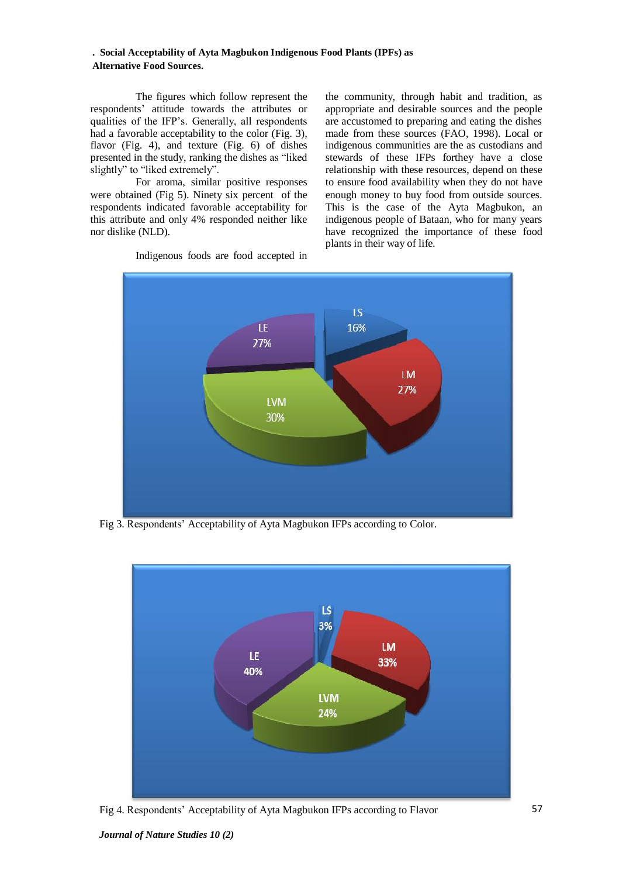### **. Social Acceptability of Ayta Magbukon Indigenous Food Plants (IPFs) as Alternative Food Sources.**

The figures which follow represent the respondents' attitude towards the attributes or qualities of the IFP's. Generally, all respondents had a favorable acceptability to the color (Fig. 3), flavor (Fig. 4), and texture (Fig. 6) of dishes presented in the study, ranking the dishes as "liked slightly" to "liked extremely".

For aroma, similar positive responses were obtained (Fig 5). Ninety six percent of the respondents indicated favorable acceptability for this attribute and only 4% responded neither like nor dislike (NLD).

the community, through habit and tradition, as appropriate and desirable sources and the people are accustomed to preparing and eating the dishes made from these sources (FAO, 1998). Local or indigenous communities are the as custodians and stewards of these IFPs forthey have a close relationship with these resources, depend on these to ensure food availability when they do not have enough money to buy food from outside sources. This is the case of the Ayta Magbukon, an indigenous people of Bataan, who for many years have recognized the importance of these food plants in their way of life.



Fig 3. Respondents' Acceptability of Ayta Magbukon IFPs according to Color.



Fig 4. Respondents' Acceptability of Ayta Magbukon IFPs according to Flavor

Indigenous foods are food accepted in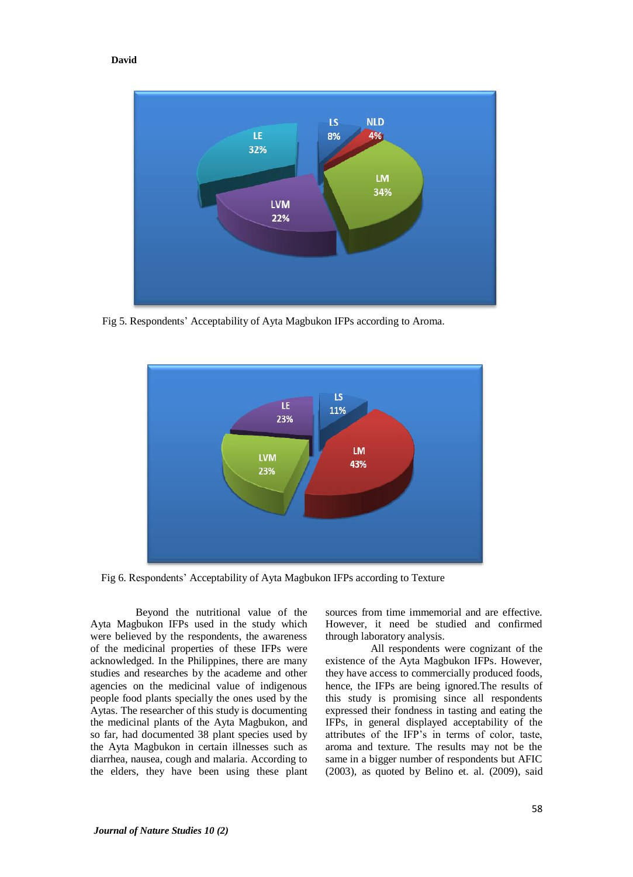#### **David**



Fig 5. Respondents' Acceptability of Ayta Magbukon IFPs according to Aroma.



Fig 6. Respondents' Acceptability of Ayta Magbukon IFPs according to Texture

Beyond the nutritional value of the Ayta Magbukon IFPs used in the study which were believed by the respondents, the awareness of the medicinal properties of these IFPs were acknowledged. In the Philippines, there are many studies and researches by the academe and other agencies on the medicinal value of indigenous people food plants specially the ones used by the Aytas. The researcher of this study is documenting the medicinal plants of the Ayta Magbukon, and so far, had documented 38 plant species used by the Ayta Magbukon in certain illnesses such as diarrhea, nausea, cough and malaria. According to the elders, they have been using these plant sources from time immemorial and are effective. However, it need be studied and confirmed through laboratory analysis.

All respondents were cognizant of the existence of the Ayta Magbukon IFPs. However, they have access to commercially produced foods, hence, the IFPs are being ignored.The results of this study is promising since all respondents expressed their fondness in tasting and eating the IFPs, in general displayed acceptability of the attributes of the IFP's in terms of color, taste, aroma and texture. The results may not be the same in a bigger number of respondents but AFIC (2003), as quoted by Belino et. al. (2009), said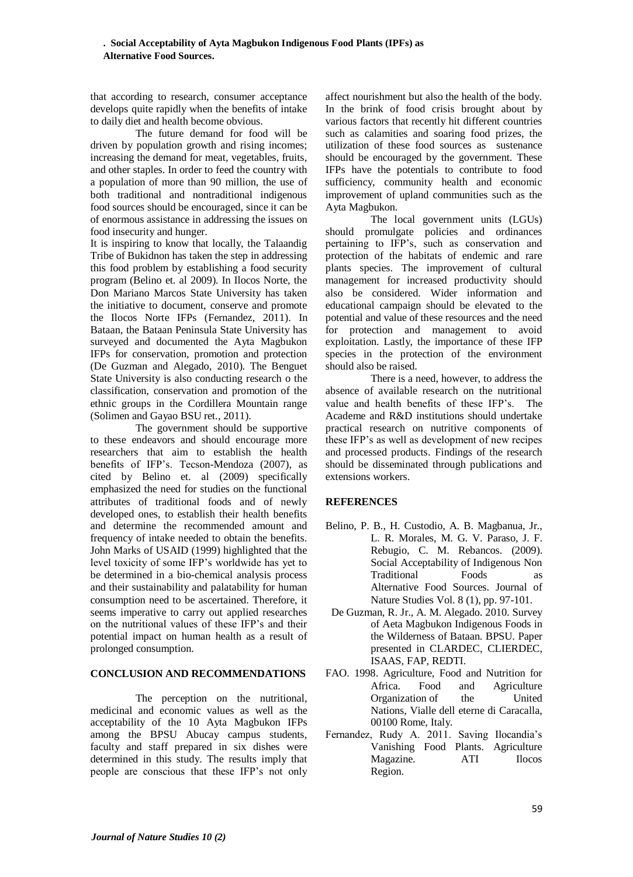### **. Social Acceptability of Ayta Magbukon Indigenous Food Plants (IPFs) as Alternative Food Sources.**

that according to research, consumer acceptance develops quite rapidly when the benefits of intake to daily diet and health become obvious.

The future demand for food will be driven by population growth and rising incomes; increasing the demand for meat, vegetables, fruits, and other staples. In order to feed the country with a population of more than 90 million, the use of both traditional and nontraditional indigenous food sources should be encouraged, since it can be of enormous assistance in addressing the issues on food insecurity and hunger.

It is inspiring to know that locally, the Talaandig Tribe of Bukidnon has taken the step in addressing this food problem by establishing a food security program (Belino et. al 2009). In Ilocos Norte, the Don Mariano Marcos State University has taken the initiative to document, conserve and promote the Ilocos Norte IFPs (Fernandez, 2011). In Bataan, the Bataan Peninsula State University has surveyed and documented the Ayta Magbukon IFPs for conservation, promotion and protection (De Guzman and Alegado, 2010). The Benguet State University is also conducting research o the classification, conservation and promotion of the ethnic groups in the Cordillera Mountain range (Solimen and Gayao BSU ret., 2011).

The government should be supportive to these endeavors and should encourage more researchers that aim to establish the health benefits of IFP's. Tecson-Mendoza (2007), as cited by Belino et. al (2009) specifically emphasized the need for studies on the functional attributes of traditional foods and of newly developed ones, to establish their health benefits and determine the recommended amount and frequency of intake needed to obtain the benefits. John Marks of USAID (1999) highlighted that the level toxicity of some IFP's worldwide has yet to be determined in a bio-chemical analysis process and their sustainability and palatability for human consumption need to be ascertained. Therefore, it seems imperative to carry out applied researches on the nutritional values of these IFP's and their potential impact on human health as a result of prolonged consumption.

## **CONCLUSION AND RECOMMENDATIONS**

The perception on the nutritional, medicinal and economic values as well as the acceptability of the 10 Ayta Magbukon IFPs among the BPSU Abucay campus students, faculty and staff prepared in six dishes were determined in this study. The results imply that people are conscious that these IFP's not only affect nourishment but also the health of the body. In the brink of food crisis brought about by various factors that recently hit different countries such as calamities and soaring food prizes, the utilization of these food sources as sustenance should be encouraged by the government. These IFPs have the potentials to contribute to food sufficiency, community health and economic improvement of upland communities such as the Ayta Magbukon.

The local government units (LGUs) should promulgate policies and ordinances pertaining to IFP's, such as conservation and protection of the habitats of endemic and rare plants species. The improvement of cultural management for increased productivity should also be considered. Wider information and educational campaign should be elevated to the potential and value of these resources and the need for protection and management to avoid exploitation. Lastly, the importance of these IFP species in the protection of the environment should also be raised.

There is a need, however, to address the absence of available research on the nutritional value and health benefits of these IFP's. The Academe and R&D institutions should undertake practical research on nutritive components of these IFP's as well as development of new recipes and processed products. Findings of the research should be disseminated through publications and extensions workers.

## **REFERENCES**

- Belino, P. B., H. Custodio, A. B. Magbanua, Jr., L. R. Morales, M. G. V. Paraso, J. F. Rebugio, C. M. Rebancos. (2009). Social Acceptability of Indigenous Non Traditional Foods as Alternative Food Sources. Journal of Nature Studies Vol. 8 (1), pp. 97-101.
- De Guzman, R. Jr., A. M. Alegado. 2010. Survey of Aeta Magbukon Indigenous Foods in the Wilderness of Bataan. BPSU. Paper presented in CLARDEC, CLIERDEC, ISAAS, FAP, REDTI.
- FAO. 1998. Agriculture, Food and Nutrition for Africa. Food and Agriculture Organization of the United Nations, Vialle dell eterne di Caracalla, 00100 Rome, Italy.
- Fernandez, Rudy A. 2011. Saving Ilocandia's Vanishing Food Plants. Agriculture Magazine. ATI Ilocos Region.